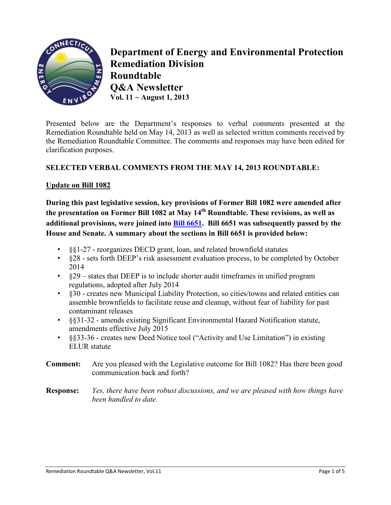

**Department of Energy and Environmental Protection Remediation Division Roundtable Q&A Newsletter Vol. 11 ~ August 1, 2013**

Presented below are the Department's responses to verbal comments presented at the Remediation Roundtable held on May 14, 2013 as well as selected written comments received by the Remediation Roundtable Committee. The comments and responses may have been edited for clarification purposes.

## **SELECTED VERBAL COMMENTS FROM THE MAY 14, 2013 ROUNDTABLE:**

## **Update on Bill 1082**

**During this past legislative session, key provisions of Former Bill 1082 were amended after the presentation on Former Bill 1082 at May 14th Roundtable. These revisions, as well as additional provisions, were joined into [Bill 6651.](http://www.cga.ct.gov/2013/TOB/H/2013HB-06651-R03-HB.htm) Bill 6651 was subsequently passed by the House and Senate. A summary about the sections in Bill 6651 is provided below:**

- §§1-27 reorganizes DECD grant, loan, and related brownfield statutes
- §28 sets forth DEEP's risk assessment evaluation process, to be completed by October 2014
- §29 states that DEEP is to include shorter audit timeframes in unified program regulations, adopted after July 2014
- $\frac{1}{30}$  creates new Municipal Liability Protection, so cities/towns and related entities can assemble brownfields to facilitate reuse and cleanup, without fear of liability for past contaminant releases
- §§31-32 amends existing Significant Environmental Hazard Notification statute, amendments effective July 2015
- §§33-36 creates new Deed Notice tool ("Activity and Use Limitation") in existing ELUR statute
- **Comment:** Are you pleased with the Legislative outcome for Bill 1082? Has there been good communication back and forth?
- **Response:** *Yes, there have been robust discussions, and we are pleased with how things have been handled to date.*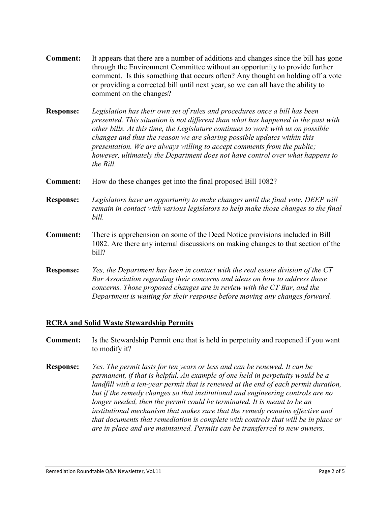- **Comment:** It appears that there are a number of additions and changes since the bill has gone through the Environment Committee without an opportunity to provide further comment. Is this something that occurs often? Any thought on holding off a vote or providing a corrected bill until next year, so we can all have the ability to comment on the changes?
- **Response:** *Legislation has their own set of rules and procedures once a bill has been presented. This situation is not different than what has happened in the past with other bills. At this time, the Legislature continues to work with us on possible changes and thus the reason we are sharing possible updates within this presentation. We are always willing to accept comments from the public; however, ultimately the Department does not have control over what happens to the Bill.*
- **Comment:** How do these changes get into the final proposed Bill 1082?
- **Response:** *Legislators have an opportunity to make changes until the final vote. DEEP will remain in contact with various legislators to help make those changes to the final bill.*
- **Comment:** There is apprehension on some of the Deed Notice provisions included in Bill 1082. Are there any internal discussions on making changes to that section of the bill?
- **Response:** *Yes, the Department has been in contact with the real estate division of the CT Bar Association regarding their concerns and ideas on how to address those concerns. Those proposed changes are in review with the CT Bar, and the Department is waiting for their response before moving any changes forward.*

#### **RCRA and Solid Waste Stewardship Permits**

- **Comment:** Is the Stewardship Permit one that is held in perpetuity and reopened if you want to modify it?
- **Response:** *Yes. The permit lasts for ten years or less and can be renewed. It can be permanent, if that is helpful. An example of one held in perpetuity would be a landfill with a ten-year permit that is renewed at the end of each permit duration, but if the remedy changes so that institutional and engineering controls are no longer needed, then the permit could be terminated. It is meant to be an institutional mechanism that makes sure that the remedy remains effective and that documents that remediation is complete with controls that will be in place or are in place and are maintained. Permits can be transferred to new owners.*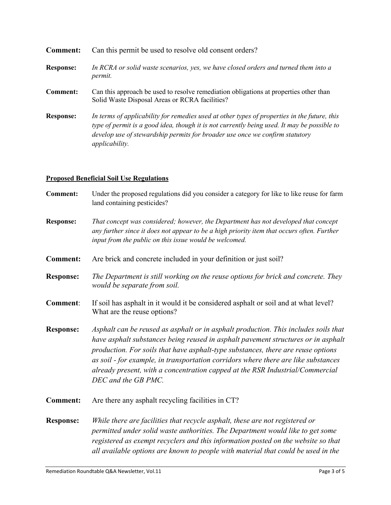| Comment:         | Can this permit be used to resolve old consent orders?                                                                                                                                                                                                                                               |
|------------------|------------------------------------------------------------------------------------------------------------------------------------------------------------------------------------------------------------------------------------------------------------------------------------------------------|
| <b>Response:</b> | In RCRA or solid waste scenarios, yes, we have closed orders and turned them into a<br>permit.                                                                                                                                                                                                       |
| Comment:         | Can this approach be used to resolve remediation obligations at properties other than<br>Solid Waste Disposal Areas or RCRA facilities?                                                                                                                                                              |
| <b>Response:</b> | In terms of applicability for remedies used at other types of properties in the future, this<br>type of permit is a good idea, though it is not currently being used. It may be possible to<br>develop use of stewardship permits for broader use once we confirm statutory<br><i>applicability.</i> |

# **Proposed Beneficial Soil Use Regulations**

| Under the proposed regulations did you consider a category for like to like reuse for farm<br>land containing pesticides?                                                                                                                                                                                                                                                                                                                                  |
|------------------------------------------------------------------------------------------------------------------------------------------------------------------------------------------------------------------------------------------------------------------------------------------------------------------------------------------------------------------------------------------------------------------------------------------------------------|
| That concept was considered; however, the Department has not developed that concept<br>any further since it does not appear to be a high priority item that occurs often. Further<br>input from the public on this issue would be welcomed.                                                                                                                                                                                                                |
| Are brick and concrete included in your definition or just soil?                                                                                                                                                                                                                                                                                                                                                                                           |
| The Department is still working on the reuse options for brick and concrete. They<br>would be separate from soil.                                                                                                                                                                                                                                                                                                                                          |
| If soil has asphalt in it would it be considered asphalt or soil and at what level?<br>What are the reuse options?                                                                                                                                                                                                                                                                                                                                         |
|                                                                                                                                                                                                                                                                                                                                                                                                                                                            |
| Asphalt can be reused as asphalt or in asphalt production. This includes soils that<br>have asphalt substances being reused in asphalt pavement structures or in asphalt<br>production. For soils that have asphalt-type substances, there are reuse options<br>as soil - for example, in transportation corridors where there are like substances<br>already present, with a concentration capped at the RSR Industrial/Commercial<br>DEC and the GB PMC. |
| Are there any asphalt recycling facilities in CT?                                                                                                                                                                                                                                                                                                                                                                                                          |
|                                                                                                                                                                                                                                                                                                                                                                                                                                                            |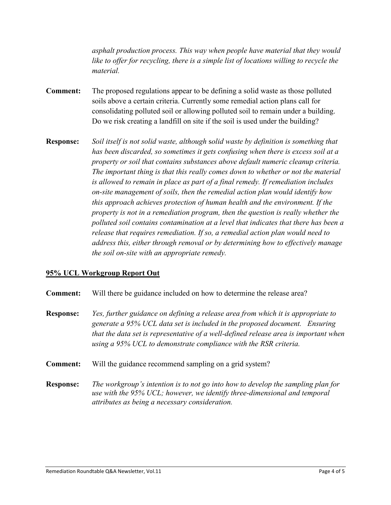*asphalt production process. This way when people have material that they would like to offer for recycling, there is a simple list of locations willing to recycle the material.*

- **Comment:** The proposed regulations appear to be defining a solid waste as those polluted soils above a certain criteria. Currently some remedial action plans call for consolidating polluted soil or allowing polluted soil to remain under a building. Do we risk creating a landfill on site if the soil is used under the building?
- **Response:** *Soil itself is not solid waste, although* s*olid waste by definition is something that has been discarded, so sometimes it gets confusing when there is excess soil at a property or soil that contains substances above default numeric cleanup criteria. The important thing is that this really comes down to whether or not the material is allowed to remain in place as part of a final remedy. If remediation includes on-site management of soils, then the remedial action plan would identify how this approach achieves protection of human health and the environment. If the property is not in a remediation program, then the question is really whether the polluted soil contains contamination at a level that indicates that there has been a release that requires remediation. If so, a remedial action plan would need to address this, either through removal or by determining how to effectively manage the soil on-site with an appropriate remedy.*

## **95% UCL Workgroup Report Out**

- **Comment:** Will there be guidance included on how to determine the release area?
- **Response:** *Yes, further guidance on defining a release area from which it is appropriate to generate a 95% UCL data set is included in the proposed document. Ensuring that the data set is representative of a well-defined release area is important when using a 95% UCL to demonstrate compliance with the RSR criteria.*
- **Comment:** Will the guidance recommend sampling on a grid system?
- **Response:** *The workgroup's intention is to not go into how to develop the sampling plan for use with the 95% UCL; however, we identify three-dimensional and temporal attributes as being a necessary consideration.*